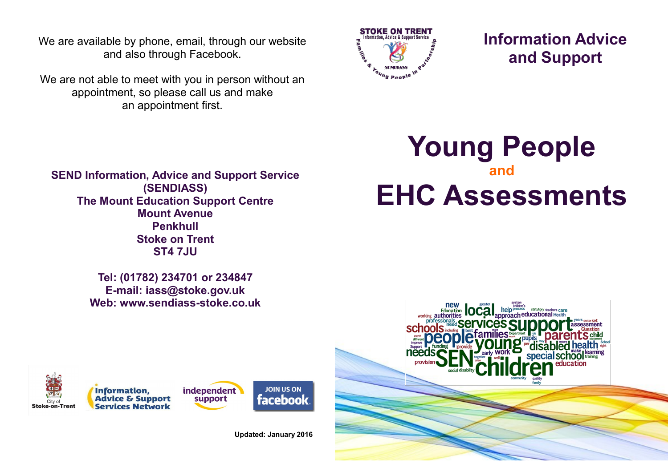We are available by phone, email, through our website and also through Facebook.

We are not able to meet with you in person without an appointment, so please call us and make an appointment first.



**Information Advice and Support**

**SEND Information, Advice and Support Service (SENDIASS) The Mount Education Support Centre Mount Avenue Penkhull Stoke on Trent ST4 7JU**

> **Tel: (01782) 234701 or 234847 E-mail: iass@stoke.gov.uk Web: www.sendiass-stoke.co.uk**











**Updated: January 2016**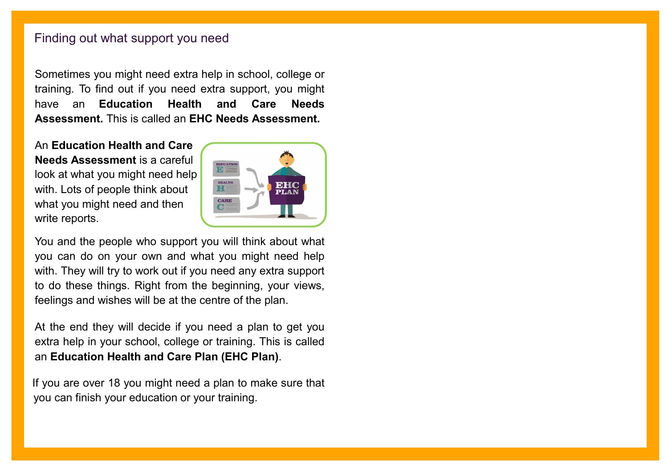## Finding out what support you need

Sometimes you might need extra help in school, college or training. To find out if you need extra support, you might have an **Education Health and Care Needs Assessment.** This is called an **EHC Needs Assessment.**

An **Education Health and Care Needs Assessment** is a careful look at what you might need help with. Lots of people think about what you might need and then write reports.



You and the people who support you will think about what you can do on your own and what you might need help with. They will try to work out if you need any extra support to do these things. Right from the beginning, your views, feelings and wishes will be at the centre of the plan.

At the end they will decide if you need a plan to get you extra help in your school, college or training. This is called an **Education Health and Care Plan (EHC Plan)**.

If you are over 18 you might need a plan to make sure that you can finish your education or your training.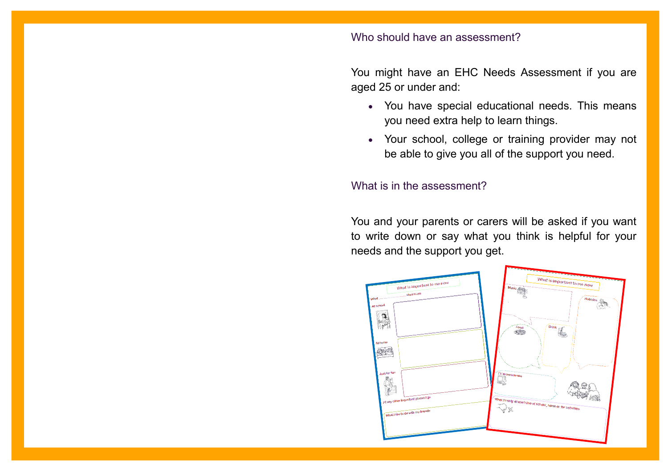Who should have an assessment?

You might have an EHC Needs Assessment if you are aged 25 or under and:

- You have special educational needs. This means you need extra help to learn things.
- Your school, college or training provider may not be able to give you all of the support you need.

What is in the assessment?

You and your parents or carers will be asked if you want to write down or say what you think is helpful for your needs and the support you get.